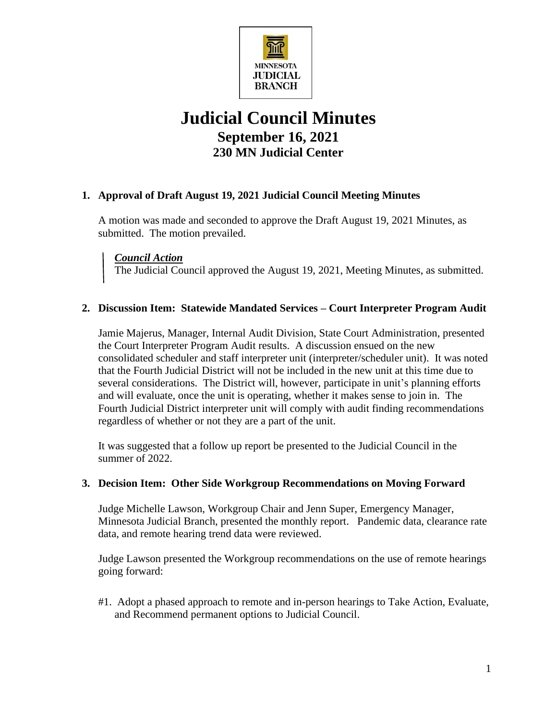

# **Judicial Council Minutes September 16, 2021 230 MN Judicial Center**

# **1. Approval of Draft August 19, 2021 Judicial Council Meeting Minutes**

A motion was made and seconded to approve the Draft August 19, 2021 Minutes, as submitted. The motion prevailed.

*Council Action*

The Judicial Council approved the August 19, 2021, Meeting Minutes, as submitted.

## **2. Discussion Item: Statewide Mandated Services – Court Interpreter Program Audit**

Jamie Majerus, Manager, Internal Audit Division, State Court Administration, presented the Court Interpreter Program Audit results. A discussion ensued on the new consolidated scheduler and staff interpreter unit (interpreter/scheduler unit). It was noted that the Fourth Judicial District will not be included in the new unit at this time due to several considerations. The District will, however, participate in unit's planning efforts and will evaluate, once the unit is operating, whether it makes sense to join in. The Fourth Judicial District interpreter unit will comply with audit finding recommendations regardless of whether or not they are a part of the unit.

It was suggested that a follow up report be presented to the Judicial Council in the summer of 2022.

#### **3. Decision Item: Other Side Workgroup Recommendations on Moving Forward**

Judge Michelle Lawson, Workgroup Chair and Jenn Super, Emergency Manager, Minnesota Judicial Branch, presented the monthly report. Pandemic data, clearance rate data, and remote hearing trend data were reviewed.

Judge Lawson presented the Workgroup recommendations on the use of remote hearings going forward:

#1. Adopt a phased approach to remote and in-person hearings to Take Action, Evaluate, and Recommend permanent options to Judicial Council.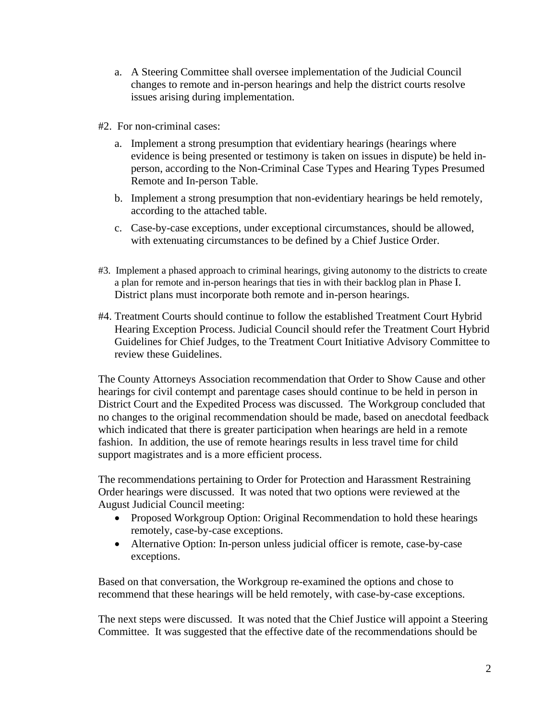- a. A Steering Committee shall oversee implementation of the Judicial Council changes to remote and in-person hearings and help the district courts resolve issues arising during implementation.
- #2. For non-criminal cases:
	- a. Implement a strong presumption that evidentiary hearings (hearings where evidence is being presented or testimony is taken on issues in dispute) be held inperson, according to the Non-Criminal Case Types and Hearing Types Presumed Remote and In-person Table.
	- b. Implement a strong presumption that non-evidentiary hearings be held remotely, according to the attached table.
	- c. Case-by-case exceptions, under exceptional circumstances, should be allowed, with extenuating circumstances to be defined by a Chief Justice Order.
- #3. Implement a phased approach to criminal hearings, giving autonomy to the districts to create a plan for remote and in-person hearings that ties in with their backlog plan in Phase I. District plans must incorporate both remote and in-person hearings.
- #4. Treatment Courts should continue to follow the established Treatment Court Hybrid Hearing Exception Process. Judicial Council should refer the Treatment Court Hybrid Guidelines for Chief Judges, to the Treatment Court Initiative Advisory Committee to review these Guidelines.

The County Attorneys Association recommendation that Order to Show Cause and other hearings for civil contempt and parentage cases should continue to be held in person in District Court and the Expedited Process was discussed. The Workgroup concluded that no changes to the original recommendation should be made, based on anecdotal feedback which indicated that there is greater participation when hearings are held in a remote fashion. In addition, the use of remote hearings results in less travel time for child support magistrates and is a more efficient process.

The recommendations pertaining to Order for Protection and Harassment Restraining Order hearings were discussed. It was noted that two options were reviewed at the August Judicial Council meeting:

- Proposed Workgroup Option: Original Recommendation to hold these hearings remotely, case-by-case exceptions.
- Alternative Option: In-person unless judicial officer is remote, case-by-case exceptions.

Based on that conversation, the Workgroup re-examined the options and chose to recommend that these hearings will be held remotely, with case-by-case exceptions.

The next steps were discussed. It was noted that the Chief Justice will appoint a Steering Committee. It was suggested that the effective date of the recommendations should be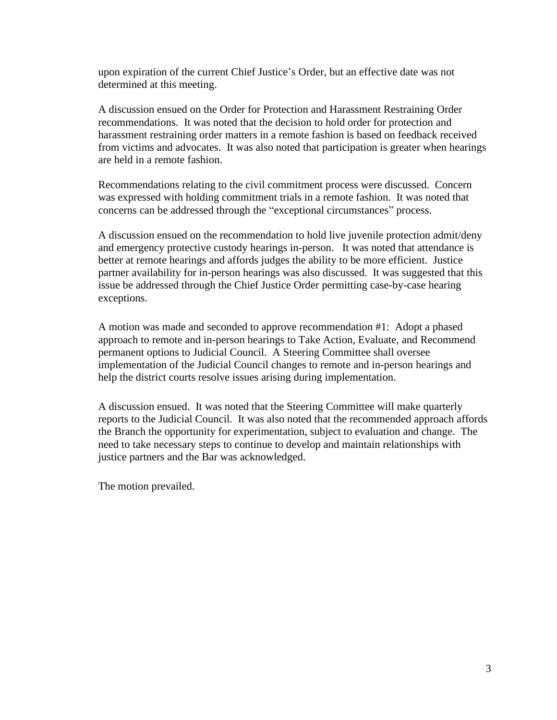upon expiration of the current Chief Justice's Order, but an effective date was not determined at this meeting.

A discussion ensued on the Order for Protection and Harassment Restraining Order recommendations. It was noted that the decision to hold order for protection and harassment restraining order matters in a remote fashion is based on feedback received from victims and advocates. It was also noted that participation is greater when hearings are held in a remote fashion.

Recommendations relating to the civil commitment process were discussed. Concern was expressed with holding commitment trials in a remote fashion. It was noted that concerns can be addressed through the "exceptional circumstances" process.

A discussion ensued on the recommendation to hold live juvenile protection admit/deny and emergency protective custody hearings in-person. It was noted that attendance is better at remote hearings and affords judges the ability to be more efficient. Justice partner availability for in-person hearings was also discussed. It was suggested that this issue be addressed through the Chief Justice Order permitting case-by-case hearing exceptions.

A motion was made and seconded to approve recommendation #1: Adopt a phased approach to remote and in-person hearings to Take Action, Evaluate, and Recommend permanent options to Judicial Council. A Steering Committee shall oversee implementation of the Judicial Council changes to remote and in-person hearings and help the district courts resolve issues arising during implementation.

A discussion ensued. It was noted that the Steering Committee will make quarterly reports to the Judicial Council. It was also noted that the recommended approach affords the Branch the opportunity for experimentation, subject to evaluation and change. The need to take necessary steps to continue to develop and maintain relationships with justice partners and the Bar was acknowledged.

The motion prevailed.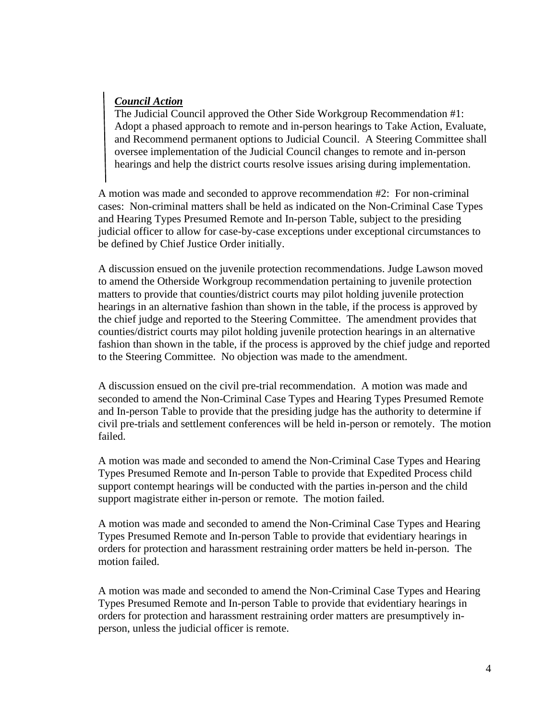## *Council Action*

The Judicial Council approved the Other Side Workgroup Recommendation #1: Adopt a phased approach to remote and in-person hearings to Take Action, Evaluate, and Recommend permanent options to Judicial Council. A Steering Committee shall oversee implementation of the Judicial Council changes to remote and in-person hearings and help the district courts resolve issues arising during implementation.

A motion was made and seconded to approve recommendation #2: For non-criminal cases: Non-criminal matters shall be held as indicated on the Non-Criminal Case Types and Hearing Types Presumed Remote and In-person Table, subject to the presiding judicial officer to allow for case-by-case exceptions under exceptional circumstances to be defined by Chief Justice Order initially.

A discussion ensued on the juvenile protection recommendations. Judge Lawson moved to amend the Otherside Workgroup recommendation pertaining to juvenile protection matters to provide that counties/district courts may pilot holding juvenile protection hearings in an alternative fashion than shown in the table, if the process is approved by the chief judge and reported to the Steering Committee. The amendment provides that counties/district courts may pilot holding juvenile protection hearings in an alternative fashion than shown in the table, if the process is approved by the chief judge and reported to the Steering Committee. No objection was made to the amendment.

A discussion ensued on the civil pre-trial recommendation. A motion was made and seconded to amend the Non-Criminal Case Types and Hearing Types Presumed Remote and In-person Table to provide that the presiding judge has the authority to determine if civil pre-trials and settlement conferences will be held in-person or remotely. The motion failed.

A motion was made and seconded to amend the Non-Criminal Case Types and Hearing Types Presumed Remote and In-person Table to provide that Expedited Process child support contempt hearings will be conducted with the parties in-person and the child support magistrate either in-person or remote. The motion failed.

A motion was made and seconded to amend the Non-Criminal Case Types and Hearing Types Presumed Remote and In-person Table to provide that evidentiary hearings in orders for protection and harassment restraining order matters be held in-person. The motion failed.

A motion was made and seconded to amend the Non-Criminal Case Types and Hearing Types Presumed Remote and In-person Table to provide that evidentiary hearings in orders for protection and harassment restraining order matters are presumptively inperson, unless the judicial officer is remote.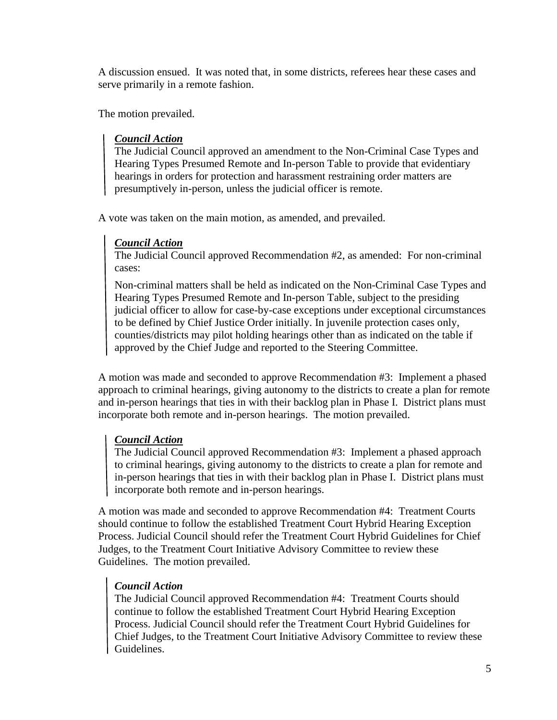A discussion ensued. It was noted that, in some districts, referees hear these cases and serve primarily in a remote fashion.

The motion prevailed.

## *Council Action*

The Judicial Council approved an amendment to the Non-Criminal Case Types and Hearing Types Presumed Remote and In-person Table to provide that evidentiary hearings in orders for protection and harassment restraining order matters are presumptively in-person, unless the judicial officer is remote.

A vote was taken on the main motion, as amended, and prevailed.

# *Council Action*

The Judicial Council approved Recommendation #2, as amended: For non-criminal cases:

Non-criminal matters shall be held as indicated on the Non-Criminal Case Types and Hearing Types Presumed Remote and In-person Table, subject to the presiding judicial officer to allow for case-by-case exceptions under exceptional circumstances to be defined by Chief Justice Order initially. In juvenile protection cases only, counties/districts may pilot holding hearings other than as indicated on the table if approved by the Chief Judge and reported to the Steering Committee.

A motion was made and seconded to approve Recommendation #3: Implement a phased approach to criminal hearings, giving autonomy to the districts to create a plan for remote and in-person hearings that ties in with their backlog plan in Phase I. District plans must incorporate both remote and in-person hearings. The motion prevailed.

## *Council Action*

The Judicial Council approved Recommendation #3: Implement a phased approach to criminal hearings, giving autonomy to the districts to create a plan for remote and in-person hearings that ties in with their backlog plan in Phase I. District plans must incorporate both remote and in-person hearings.

A motion was made and seconded to approve Recommendation #4: Treatment Courts should continue to follow the established Treatment Court Hybrid Hearing Exception Process. Judicial Council should refer the Treatment Court Hybrid Guidelines for Chief Judges, to the Treatment Court Initiative Advisory Committee to review these Guidelines. The motion prevailed.

## *Council Action*

The Judicial Council approved Recommendation #4: Treatment Courts should continue to follow the established Treatment Court Hybrid Hearing Exception Process. Judicial Council should refer the Treatment Court Hybrid Guidelines for Chief Judges, to the Treatment Court Initiative Advisory Committee to review these Guidelines.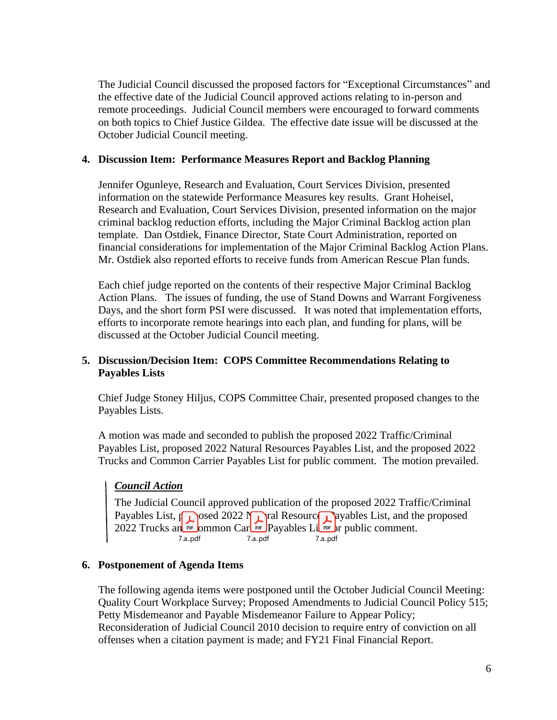The Judicial Council discussed the proposed factors for "Exceptional Circumstances" and the effective date of the Judicial Council approved actions relating to in-person and remote proceedings. Judicial Council members were encouraged to forward comments on both topics to Chief Justice Gildea. The effective date issue will be discussed at the October Judicial Council meeting.

#### **4. Discussion Item: Performance Measures Report and Backlog Planning**

Jennifer Ogunleye, Research and Evaluation, Court Services Division, presented information on the statewide Performance Measures key results. Grant Hoheisel, Research and Evaluation, Court Services Division, presented information on the major criminal backlog reduction efforts, including the Major Criminal Backlog action plan template. Dan Ostdiek, Finance Director, State Court Administration, reported on financial considerations for implementation of the Major Criminal Backlog Action Plans. Mr. Ostdiek also reported efforts to receive funds from American Rescue Plan funds.

Each chief judge reported on the contents of their respective Major Criminal Backlog Action Plans. The issues of funding, the use of Stand Downs and Warrant Forgiveness Days, and the short form PSI were discussed. It was noted that implementation efforts, efforts to incorporate remote hearings into each plan, and funding for plans, will be discussed at the October Judicial Council meeting.

## **5. Discussion/Decision Item: COPS Committee Recommendations Relating to Payables Lists**

Chief Judge Stoney Hiljus, COPS Committee Chair, presented proposed changes to the Payables Lists.

A motion was made and seconded to publish the proposed 2022 Traffic/Criminal Payables List, proposed 2022 Natural Resources Payables List, and the proposed 2022 Trucks and Common Carrier Payables List for public comment. The motion prevailed.

## *Council Action*

The Judicial Council approved publication of the proposed 2022 Traffic/Criminal Payables List,  $p_{\text{obs}}$  and the proposed 2022 Natural Resource Payables List, and the proposed 2022 Trucks an **FREE** ommon Carl FORE Payables Live for public comment. 7.a..pdf 7.a..pdf 7.a..pdf

#### **6. Postponement of Agenda Items**

The following agenda items were postponed until the October Judicial Council Meeting: Quality Court Workplace Survey; Proposed Amendments to Judicial Council Policy 515; Petty Misdemeanor and Payable Misdemeanor Failure to Appear Policy; Reconsideration of Judicial Council 2010 decision to require entry of conviction on all offenses when a citation payment is made; and FY21 Final Financial Report.